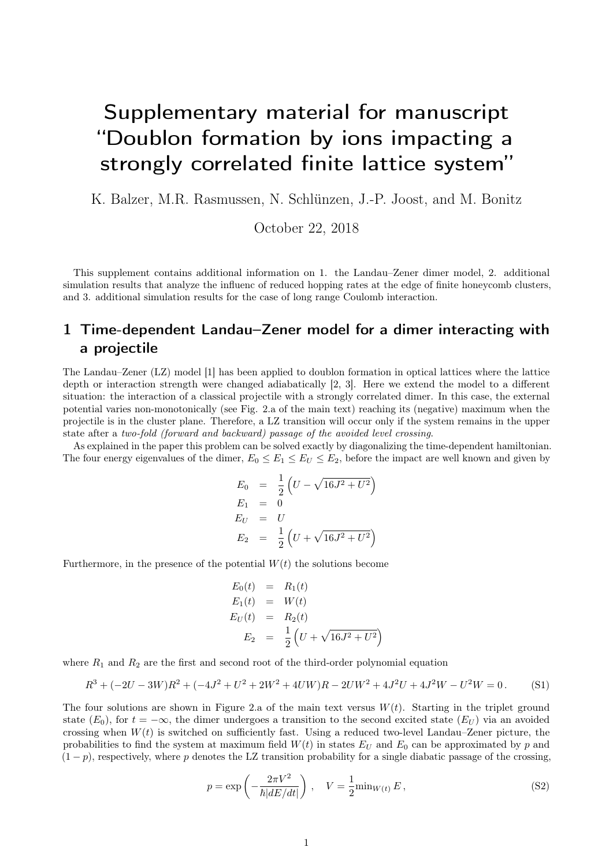# Supplementary material for manuscript "Doublon formation by ions impacting a strongly correlated finite lattice system"

K. Balzer, M.R. Rasmussen, N. Schlünzen, J.-P. Joost, and M. Bonitz

October 22, 2018

This supplement contains additional information on 1. the Landau–Zener dimer model, 2. additional simulation results that analyze the influenc of reduced hopping rates at the edge of finite honeycomb clusters, and 3. additional simulation results for the case of long range Coulomb interaction.

## 1 Time-dependent Landau–Zener model for a dimer interacting with a projectile

The Landau–Zener (LZ) model [1] has been applied to doublon formation in optical lattices where the lattice depth or interaction strength were changed adiabatically [2, 3]. Here we extend the model to a different situation: the interaction of a classical projectile with a strongly correlated dimer. In this case, the external potential varies non-monotonically (see Fig. 2.a of the main text) reaching its (negative) maximum when the projectile is in the cluster plane. Therefore, a LZ transition will occur only if the system remains in the upper state after a two-fold (forward and backward) passage of the avoided level crossing.

As explained in the paper this problem can be solved exactly by diagonalizing the time-dependent hamiltonian. The four energy eigenvalues of the dimer,  $E_0 \le E_1 \le E_U \le E_2$ , before the impact are well known and given by

$$
E_0 = \frac{1}{2} \left( U - \sqrt{16J^2 + U^2} \right)
$$
  
\n
$$
E_1 = 0
$$
  
\n
$$
E_U = U
$$
  
\n
$$
E_2 = \frac{1}{2} \left( U + \sqrt{16J^2 + U^2} \right)
$$

Furthermore, in the presence of the potential  $W(t)$  the solutions become

$$
E_0(t) = R_1(t)
$$
  
\n
$$
E_1(t) = W(t)
$$
  
\n
$$
E_U(t) = R_2(t)
$$
  
\n
$$
E_2 = \frac{1}{2} (U + \sqrt{16J^2 + U^2})
$$

where  $R_1$  and  $R_2$  are the first and second root of the third-order polynomial equation

$$
R^{3} + (-2U - 3W)R^{2} + (-4J^{2} + U^{2} + 2W^{2} + 4UW)R - 2UW^{2} + 4J^{2}U + 4J^{2}W - U^{2}W = 0.
$$
 (S1)

The four solutions are shown in Figure 2.a of the main text versus  $W(t)$ . Starting in the triplet ground state  $(E_0)$ , for  $t = -\infty$ , the dimer undergoes a transition to the second excited state  $(E_U)$  via an avoided crossing when  $W(t)$  is switched on sufficiently fast. Using a reduced two-level Landau–Zener picture, the probabilities to find the system at maximum field  $W(t)$  in states  $E_U$  and  $E_0$  can be approximated by p and  $(1-p)$ , respectively, where p denotes the LZ transition probability for a single diabatic passage of the crossing,

$$
p = \exp\left(-\frac{2\pi V^2}{\hbar|dE/dt|}\right), \quad V = \frac{1}{2} \min_{W(t)} E,
$$
\n(S2)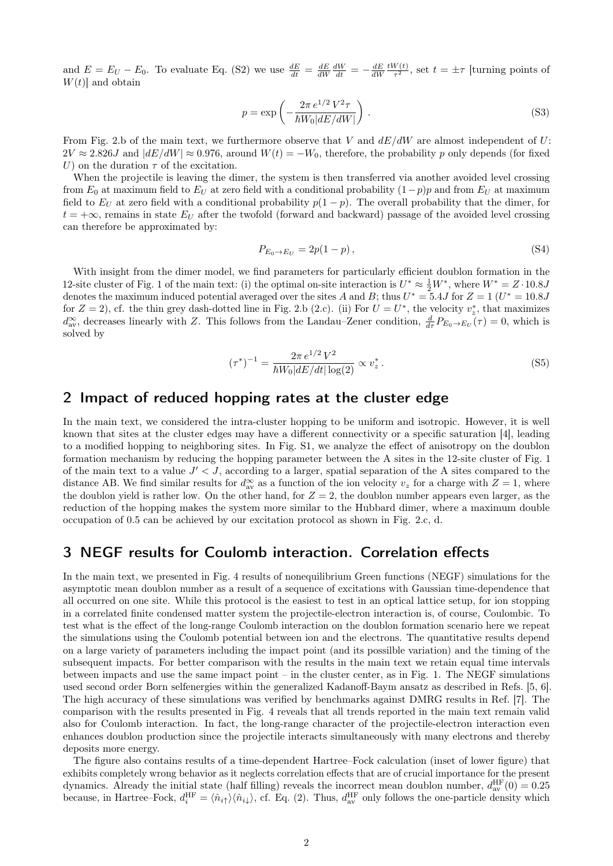and  $E = E_U - E_0$ . To evaluate Eq. (S2) we use  $\frac{dE}{dt} = \frac{dE}{dW}\frac{dW}{dt} = -\frac{dE}{dW}$  $tW(t)$  $\frac{\sqrt{v(t)}}{\tau^2}$ , set  $t = \pm \tau$  [turning points of  $W(t)$  and obtain

$$
p = \exp\left(-\frac{2\pi e^{1/2}V^2\tau}{\hbar W_0|dE/dW|}\right). \tag{S3}
$$

From Fig. 2.b of the main text, we furthermore observe that V and  $dE/dW$  are almost independent of U:  $2V \approx 2.826J$  and  $|dE/dW| \approx 0.976$ , around  $W(t) = -W_0$ , therefore, the probability p only depends (for fixed U) on the duration  $\tau$  of the excitation.

When the projectile is leaving the dimer, the system is then transferred via another avoided level crossing from  $E_0$  at maximum field to  $E_U$  at zero field with a conditional probability  $(1-p)p$  and from  $E_U$  at maximum field to  $E_U$  at zero field with a conditional probability  $p(1-p)$ . The overall probability that the dimer, for  $t = +\infty$ , remains in state  $E_U$  after the twofold (forward and backward) passage of the avoided level crossing can therefore be approximated by:

$$
P_{E_0 \to E_U} = 2p(1 - p), \tag{S4}
$$

With insight from the dimer model, we find parameters for particularly efficient doublon formation in the 12-site cluster of Fig. 1 of the main text: (i) the optimal on-site interaction is  $U^* \approx \frac{1}{2}W^*$ , where  $W^* = Z \cdot 10.8J$ denotes the maximum induced potential averaged over the sites A and B; thus  $U^* = 5.4J$  for  $Z = 1$   $(U^* = 10.8J)$ for  $Z = 2$ ), cf. the thin grey dash-dotted line in Fig. 2.b (2.c). (ii) For  $U = U^*$ , the velocity  $v_z^*$ , that maximizes  $d_{\text{av}}^{\infty}$ , decreases linearly with Z. This follows from the Landau–Zener condition,  $\frac{d}{d\tau}P_{E_0\to E_U}(\tau)=0$ , which is solved by

$$
(\tau^*)^{-1} = \frac{2\pi e^{1/2} V^2}{\hbar W_0 |dE/dt| \log(2)} \propto v_z^* \,. \tag{S5}
$$

#### 2 Impact of reduced hopping rates at the cluster edge

In the main text, we considered the intra-cluster hopping to be uniform and isotropic. However, it is well known that sites at the cluster edges may have a different connectivity or a specific saturation [4], leading to a modified hopping to neighboring sites. In Fig. S1, we analyze the effect of anisotropy on the doublon formation mechanism by reducing the hopping parameter between the A sites in the 12-site cluster of Fig. 1 of the main text to a value  $J' < J$ , according to a larger, spatial separation of the A sites compared to the distance AB. We find similar results for  $d_{av}^{\infty}$  as a function of the ion velocity  $v_z$  for a charge with  $Z = 1$ , where the doublon yield is rather low. On the other hand, for  $Z = 2$ , the doublon number appears even larger, as the reduction of the hopping makes the system more similar to the Hubbard dimer, where a maximum double occupation of 0.5 can be achieved by our excitation protocol as shown in Fig. 2.c, d.

#### 3 NEGF results for Coulomb interaction. Correlation effects

In the main text, we presented in Fig. 4 results of nonequilibrium Green functions (NEGF) simulations for the asymptotic mean doublon number as a result of a sequence of excitations with Gaussian time-dependence that all occurred on one site. While this protocol is the easiest to test in an optical lattice setup, for ion stopping in a correlated finite condensed matter system the projectile-electron interaction is, of course, Coulombic. To test what is the effect of the long-range Coulomb interaction on the doublon formation scenario here we repeat the simulations using the Coulomb potential between ion and the electrons. The quantitative results depend on a large variety of parameters including the impact point (and its possilble variation) and the timing of the subsequent impacts. For better comparison with the results in the main text we retain equal time intervals between impacts and use the same impact point – in the cluster center, as in Fig. 1. The NEGF simulations used second order Born selfenergies within the generalized Kadanoff-Baym ansatz as described in Refs. [5, 6]. The high accuracy of these simulations was verified by benchmarks against DMRG results in Ref. [7]. The comparison with the results presented in Fig. 4 reveals that all trends reported in the main text remain valid also for Coulomb interaction. In fact, the long-range character of the projectile-electron interaction even enhances doublon production since the projectile interacts simultaneously with many electrons and thereby deposits more energy.

The figure also contains results of a time-dependent Hartree–Fock calculation (inset of lower figure) that exhibits completely wrong behavior as it neglects correlation effects that are of crucial importance for the present dynamics. Already the initial state (half filling) reveals the incorrect mean doublon number,  $d_{av}^{\text{HF}}(0) = 0.25$ because, in Hartree–Fock,  $d_i^{\text{HF}} = \langle \hat{n}_{i\uparrow} \rangle \langle \hat{n}_{i\downarrow} \rangle$ , cf. Eq. (2). Thus,  $d_{\text{av}}^{\text{HF}}$  only follows the one-particle density which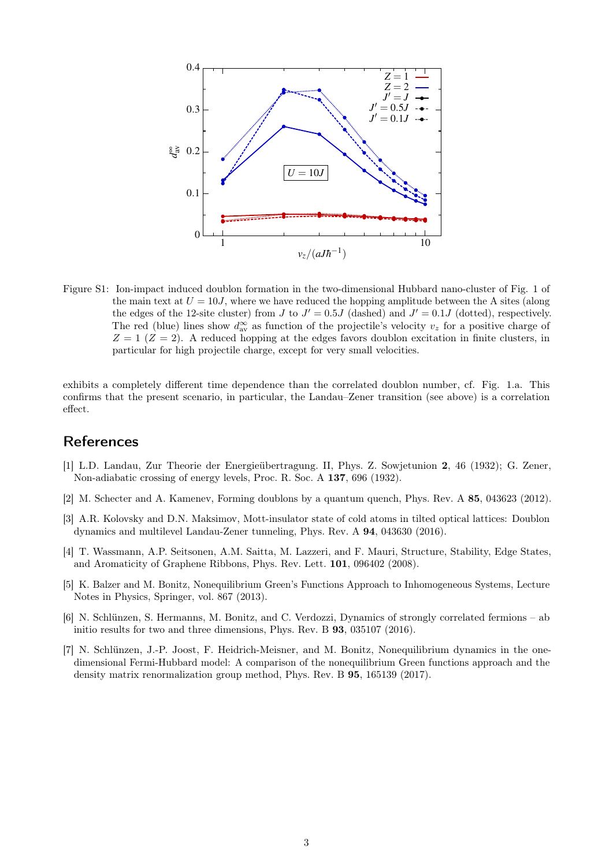

Figure S1: Ion-impact induced doublon formation in the two-dimensional Hubbard nano-cluster of Fig. 1 of the main text at  $U = 10J$ , where we have reduced the hopping amplitude between the A sites (along the edges of the 12-site cluster) from J to  $J' = 0.5J$  (dashed) and  $J' = 0.1J$  (dotted), respectively. The red (blue) lines show  $d_{av}^{\infty}$  as function of the projectile's velocity  $v_z$  for a positive charge of  $Z = 1$  ( $Z = 2$ ). A reduced hopping at the edges favors doublon excitation in finite clusters, in particular for high projectile charge, except for very small velocities.

exhibits a completely different time dependence than the correlated doublon number, cf. Fig. 1.a. This confirms that the present scenario, in particular, the Landau–Zener transition (see above) is a correlation effect.

### **References**

- [1] L.D. Landau, Zur Theorie der Energieübertragung. II, Phys. Z. Sowjetunion 2, 46 (1932); G. Zener, Non-adiabatic crossing of energy levels, Proc. R. Soc. A 137, 696 (1932).
- [2] M. Schecter and A. Kamenev, Forming doublons by a quantum quench, Phys. Rev. A 85, 043623 (2012).
- [3] A.R. Kolovsky and D.N. Maksimov, Mott-insulator state of cold atoms in tilted optical lattices: Doublon dynamics and multilevel Landau-Zener tunneling, Phys. Rev. A 94, 043630 (2016).
- [4] T. Wassmann, A.P. Seitsonen, A.M. Saitta, M. Lazzeri, and F. Mauri, Structure, Stability, Edge States, and Aromaticity of Graphene Ribbons, Phys. Rev. Lett. 101, 096402 (2008).
- [5] K. Balzer and M. Bonitz, Nonequilibrium Green's Functions Approach to Inhomogeneous Systems, Lecture Notes in Physics, Springer, vol. 867 (2013).
- [6] N. Schlünzen, S. Hermanns, M. Bonitz, and C. Verdozzi, Dynamics of strongly correlated fermions ab initio results for two and three dimensions, Phys. Rev. B 93, 035107 (2016).
- [7] N. Schlünzen, J.-P. Joost, F. Heidrich-Meisner, and M. Bonitz, Nonequilibrium dynamics in the onedimensional Fermi-Hubbard model: A comparison of the nonequilibrium Green functions approach and the density matrix renormalization group method, Phys. Rev. B 95, 165139 (2017).